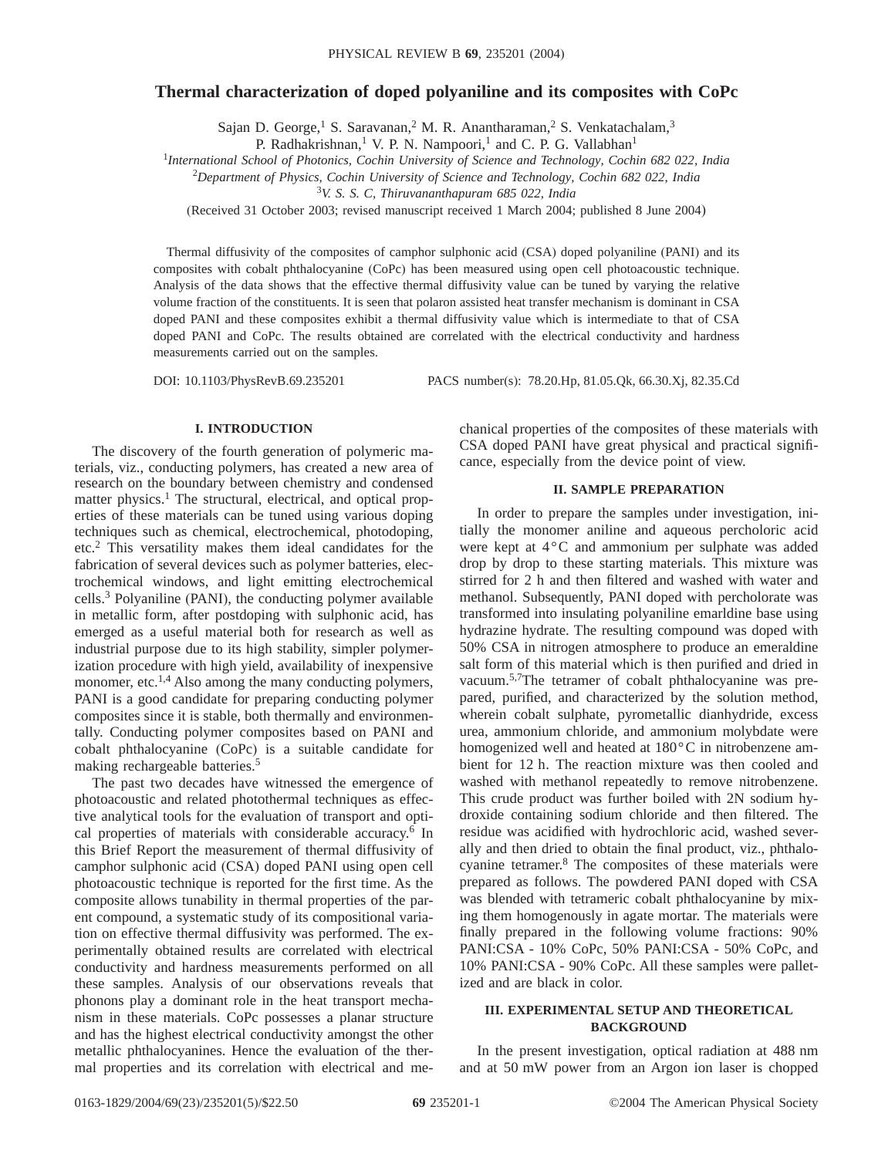# **Thermal characterization of doped polyaniline and its composites with CoPc**

Sajan D. George,<sup>1</sup> S. Saravanan,<sup>2</sup> M. R. Anantharaman,<sup>2</sup> S. Venkatachalam,<sup>3</sup>

P. Radhakrishnan,<sup>1</sup> V. P. N. Nampoori,<sup>1</sup> and C. P. G. Vallabhan<sup>1</sup>

1 *International School of Photonics, Cochin University of Science and Technology, Cochin 682 022, India*

<sup>2</sup>*Department of Physics, Cochin University of Science and Technology, Cochin 682 022, India*

<sup>3</sup>*V. S. S. C, Thiruvananthapuram 685 022, India*

(Received 31 October 2003; revised manuscript received 1 March 2004; published 8 June 2004)

Thermal diffusivity of the composites of camphor sulphonic acid (CSA) doped polyaniline (PANI) and its composites with cobalt phthalocyanine (CoPc) has been measured using open cell photoacoustic technique. Analysis of the data shows that the effective thermal diffusivity value can be tuned by varying the relative volume fraction of the constituents. It is seen that polaron assisted heat transfer mechanism is dominant in CSA doped PANI and these composites exhibit a thermal diffusivity value which is intermediate to that of CSA doped PANI and CoPc. The results obtained are correlated with the electrical conductivity and hardness measurements carried out on the samples.

DOI: 10.1103/PhysRevB.69.235201 PACS number(s): 78.20.Hp, 81.05.Qk, 66.30.Xj, 82.35.Cd

#### **I. INTRODUCTION**

The discovery of the fourth generation of polymeric materials, viz., conducting polymers, has created a new area of research on the boundary between chemistry and condensed matter physics.<sup>1</sup> The structural, electrical, and optical properties of these materials can be tuned using various doping techniques such as chemical, electrochemical, photodoping, etc.2 This versatility makes them ideal candidates for the fabrication of several devices such as polymer batteries, electrochemical windows, and light emitting electrochemical cells.3 Polyaniline (PANI), the conducting polymer available in metallic form, after postdoping with sulphonic acid, has emerged as a useful material both for research as well as industrial purpose due to its high stability, simpler polymerization procedure with high yield, availability of inexpensive monomer, etc.<sup>1,4</sup> Also among the many conducting polymers, PANI is a good candidate for preparing conducting polymer composites since it is stable, both thermally and environmentally. Conducting polymer composites based on PANI and cobalt phthalocyanine (CoPc) is a suitable candidate for making rechargeable batteries.<sup>5</sup>

The past two decades have witnessed the emergence of photoacoustic and related photothermal techniques as effective analytical tools for the evaluation of transport and optical properties of materials with considerable accuracy.<sup>6</sup> In this Brief Report the measurement of thermal diffusivity of camphor sulphonic acid (CSA) doped PANI using open cell photoacoustic technique is reported for the first time. As the composite allows tunability in thermal properties of the parent compound, a systematic study of its compositional variation on effective thermal diffusivity was performed. The experimentally obtained results are correlated with electrical conductivity and hardness measurements performed on all these samples. Analysis of our observations reveals that phonons play a dominant role in the heat transport mechanism in these materials. CoPc possesses a planar structure and has the highest electrical conductivity amongst the other metallic phthalocyanines. Hence the evaluation of the thermal properties and its correlation with electrical and mechanical properties of the composites of these materials with CSA doped PANI have great physical and practical significance, especially from the device point of view.

### **II. SAMPLE PREPARATION**

In order to prepare the samples under investigation, initially the monomer aniline and aqueous percholoric acid were kept at 4°C and ammonium per sulphate was added drop by drop to these starting materials. This mixture was stirred for 2 h and then filtered and washed with water and methanol. Subsequently, PANI doped with percholorate was transformed into insulating polyaniline emarldine base using hydrazine hydrate. The resulting compound was doped with 50% CSA in nitrogen atmosphere to produce an emeraldine salt form of this material which is then purified and dried in vacuum.5,7The tetramer of cobalt phthalocyanine was prepared, purified, and characterized by the solution method, wherein cobalt sulphate, pyrometallic dianhydride, excess urea, ammonium chloride, and ammonium molybdate were homogenized well and heated at  $180^{\circ}$ C in nitrobenzene ambient for 12 h. The reaction mixture was then cooled and washed with methanol repeatedly to remove nitrobenzene. This crude product was further boiled with 2N sodium hydroxide containing sodium chloride and then filtered. The residue was acidified with hydrochloric acid, washed severally and then dried to obtain the final product, viz., phthalocyanine tetramer.8 The composites of these materials were prepared as follows. The powdered PANI doped with CSA was blended with tetrameric cobalt phthalocyanine by mixing them homogenously in agate mortar. The materials were finally prepared in the following volume fractions: 90% PANI:CSA - 10% CoPc, 50% PANI:CSA - 50% CoPc, and 10% PANI:CSA - 90% CoPc. All these samples were palletized and are black in color.

## **III. EXPERIMENTAL SETUP AND THEORETICAL BACKGROUND**

In the present investigation, optical radiation at 488 nm and at 50 mW power from an Argon ion laser is chopped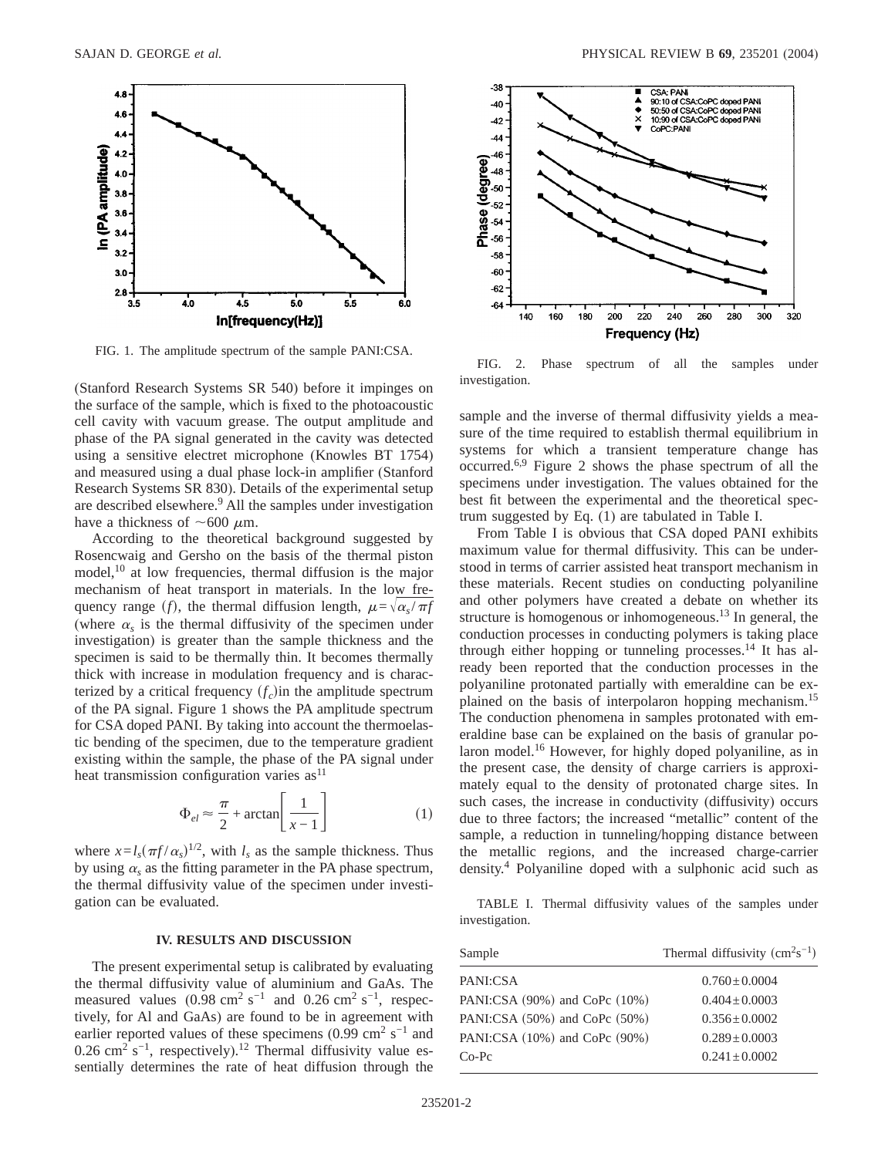

FIG. 1. The amplitude spectrum of the sample PANI:CSA.

(Stanford Research Systems SR 540) before it impinges on the surface of the sample, which is fixed to the photoacoustic cell cavity with vacuum grease. The output amplitude and phase of the PA signal generated in the cavity was detected using a sensitive electret microphone (Knowles BT 1754) and measured using a dual phase lock-in amplifier (Stanford Research Systems SR 830). Details of the experimental setup are described elsewhere.<sup>9</sup> All the samples under investigation have a thickness of  $\sim$ 600  $\mu$ m.

According to the theoretical background suggested by Rosencwaig and Gersho on the basis of the thermal piston model,<sup>10</sup> at low frequencies, thermal diffusion is the major mechanism of heat transport in materials. In the low frequency range (*f*), the thermal diffusion length,  $\mu = \sqrt{\alpha_s / \pi f}$ (where  $\alpha_s$  is the thermal diffusivity of the specimen under investigation) is greater than the sample thickness and the specimen is said to be thermally thin. It becomes thermally thick with increase in modulation frequency and is characterized by a critical frequency  $(f_c)$  in the amplitude spectrum of the PA signal. Figure 1 shows the PA amplitude spectrum for CSA doped PANI. By taking into account the thermoelastic bending of the specimen, due to the temperature gradient existing within the sample, the phase of the PA signal under heat transmission configuration varies  $as<sup>11</sup>$ 

$$
\Phi_{el} \approx \frac{\pi}{2} + \arctan\left[\frac{1}{x-1}\right] \tag{1}
$$

where  $x = l_s (\pi f / \alpha_s)^{1/2}$ , with  $l_s$  as the sample thickness. Thus by using  $\alpha_s$  as the fitting parameter in the PA phase spectrum, the thermal diffusivity value of the specimen under investigation can be evaluated.

### **IV. RESULTS AND DISCUSSION**

The present experimental setup is calibrated by evaluating the thermal diffusivity value of aluminium and GaAs. The measured values  $(0.98 \text{ cm}^2 \text{ s}^{-1} \text{ and } 0.26 \text{ cm}^2 \text{ s}^{-1} \text{, respectively.}$ tively, for Al and GaAs) are found to be in agreement with earlier reported values of these specimens (0.99 cm<sup>2</sup> s<sup>-1</sup> and  $0.26$  cm<sup>2</sup> s<sup>-1</sup>, respectively).<sup>12</sup> Thermal diffusivity value essentially determines the rate of heat diffusion through the



FIG. 2. Phase spectrum of all the samples under investigation.

sample and the inverse of thermal diffusivity yields a measure of the time required to establish thermal equilibrium in systems for which a transient temperature change has occurred.6,9 Figure 2 shows the phase spectrum of all the specimens under investigation. The values obtained for the best fit between the experimental and the theoretical spectrum suggested by Eq. (1) are tabulated in Table I.

From Table I is obvious that CSA doped PANI exhibits maximum value for thermal diffusivity. This can be understood in terms of carrier assisted heat transport mechanism in these materials. Recent studies on conducting polyaniline and other polymers have created a debate on whether its structure is homogenous or inhomogeneous.<sup>13</sup> In general, the conduction processes in conducting polymers is taking place through either hopping or tunneling processes.<sup>14</sup> It has already been reported that the conduction processes in the polyaniline protonated partially with emeraldine can be explained on the basis of interpolaron hopping mechanism.15 The conduction phenomena in samples protonated with emeraldine base can be explained on the basis of granular polaron model.<sup>16</sup> However, for highly doped polyaniline, as in the present case, the density of charge carriers is approximately equal to the density of protonated charge sites. In such cases, the increase in conductivity (diffusivity) occurs due to three factors; the increased "metallic" content of the sample, a reduction in tunneling/hopping distance between the metallic regions, and the increased charge-carrier density.4 Polyaniline doped with a sulphonic acid such as

TABLE I. Thermal diffusivity values of the samples under investigation.

| Thermal diffusivity $\rm (cm^2s^{-1})$ |
|----------------------------------------|
| $0.760 + 0.0004$                       |
| $0.404 + 0.0003$                       |
| $0.356 + 0.0002$                       |
| $0.289 + 0.0003$                       |
| $0.241 + 0.0002$                       |
|                                        |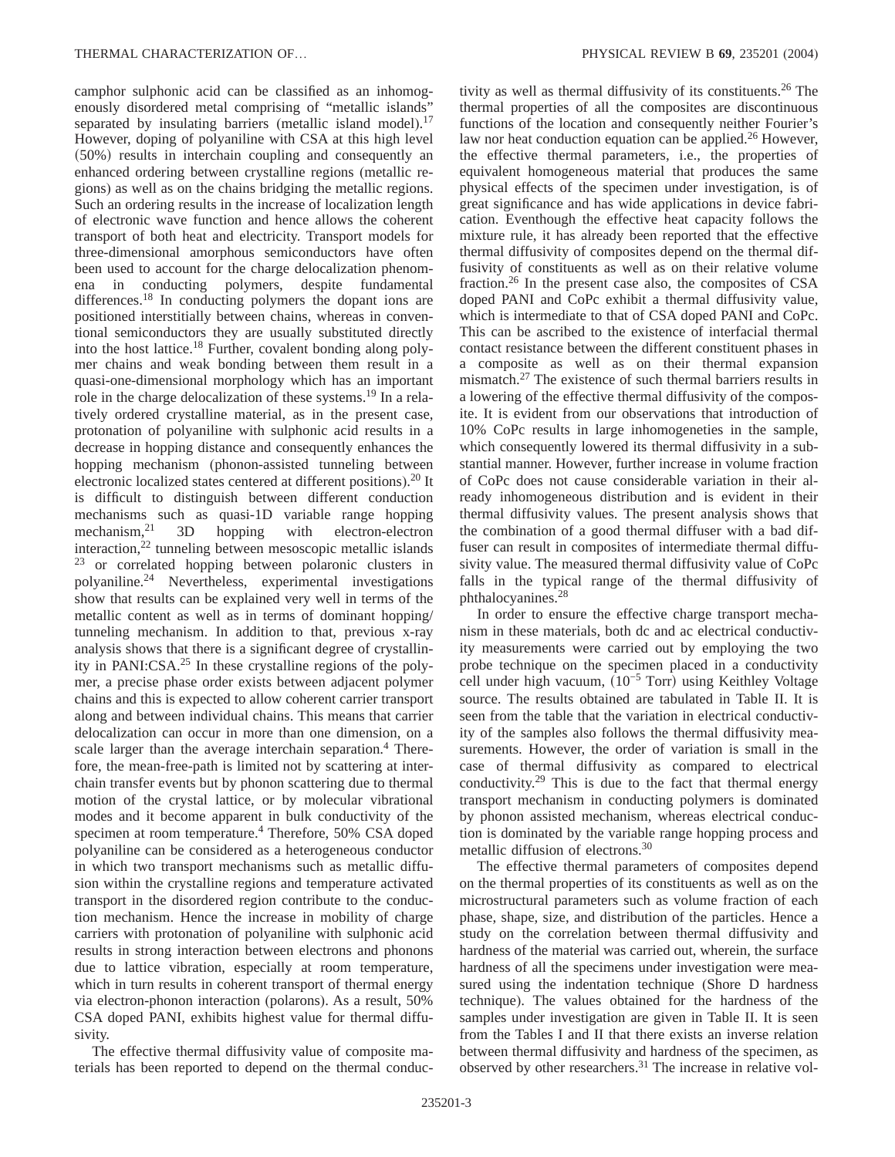camphor sulphonic acid can be classified as an inhomogenously disordered metal comprising of "metallic islands" separated by insulating barriers (metallic island model).<sup>17</sup> However, doping of polyaniline with CSA at this high level  $(50%)$  results in interchain coupling and consequently an enhanced ordering between crystalline regions (metallic regions) as well as on the chains bridging the metallic regions. Such an ordering results in the increase of localization length of electronic wave function and hence allows the coherent transport of both heat and electricity. Transport models for three-dimensional amorphous semiconductors have often been used to account for the charge delocalization phenomena in conducting polymers, despite fundamental differences.18 In conducting polymers the dopant ions are positioned interstitially between chains, whereas in conventional semiconductors they are usually substituted directly into the host lattice.18 Further, covalent bonding along polymer chains and weak bonding between them result in a quasi-one-dimensional morphology which has an important role in the charge delocalization of these systems.<sup>19</sup> In a relatively ordered crystalline material, as in the present case, protonation of polyaniline with sulphonic acid results in a decrease in hopping distance and consequently enhances the hopping mechanism (phonon-assisted tunneling between electronic localized states centered at different positions).<sup>20</sup> It is difficult to distinguish between different conduction mechanisms such as quasi-1D variable range hopping<br>mechanism,<sup>21</sup> 3D hopping with electron-electron 3D hopping with electron-electron interaction, $22$  tunneling between mesoscopic metallic islands <sup>23</sup> or correlated hopping between polaronic clusters in polyaniline.24 Nevertheless, experimental investigations show that results can be explained very well in terms of the metallic content as well as in terms of dominant hopping/ tunneling mechanism. In addition to that, previous x-ray analysis shows that there is a significant degree of crystallinity in PANI:CSA.25 In these crystalline regions of the polymer, a precise phase order exists between adjacent polymer chains and this is expected to allow coherent carrier transport along and between individual chains. This means that carrier delocalization can occur in more than one dimension, on a scale larger than the average interchain separation.<sup>4</sup> Therefore, the mean-free-path is limited not by scattering at interchain transfer events but by phonon scattering due to thermal motion of the crystal lattice, or by molecular vibrational modes and it become apparent in bulk conductivity of the specimen at room temperature.<sup>4</sup> Therefore, 50% CSA doped polyaniline can be considered as a heterogeneous conductor in which two transport mechanisms such as metallic diffusion within the crystalline regions and temperature activated transport in the disordered region contribute to the conduction mechanism. Hence the increase in mobility of charge carriers with protonation of polyaniline with sulphonic acid results in strong interaction between electrons and phonons due to lattice vibration, especially at room temperature, which in turn results in coherent transport of thermal energy via electron-phonon interaction (polarons). As a result, 50% CSA doped PANI, exhibits highest value for thermal diffusivity.

The effective thermal diffusivity value of composite materials has been reported to depend on the thermal conductivity as well as thermal diffusivity of its constituents.26 The thermal properties of all the composites are discontinuous functions of the location and consequently neither Fourier's law nor heat conduction equation can be applied.<sup>26</sup> However, the effective thermal parameters, i.e., the properties of equivalent homogeneous material that produces the same physical effects of the specimen under investigation, is of great significance and has wide applications in device fabrication. Eventhough the effective heat capacity follows the mixture rule, it has already been reported that the effective thermal diffusivity of composites depend on the thermal diffusivity of constituents as well as on their relative volume fraction.26 In the present case also, the composites of CSA doped PANI and CoPc exhibit a thermal diffusivity value, which is intermediate to that of CSA doped PANI and CoPc. This can be ascribed to the existence of interfacial thermal contact resistance between the different constituent phases in a composite as well as on their thermal expansion mismatch.<sup>27</sup> The existence of such thermal barriers results in a lowering of the effective thermal diffusivity of the composite. It is evident from our observations that introduction of 10% CoPc results in large inhomogeneties in the sample, which consequently lowered its thermal diffusivity in a substantial manner. However, further increase in volume fraction of CoPc does not cause considerable variation in their already inhomogeneous distribution and is evident in their thermal diffusivity values. The present analysis shows that the combination of a good thermal diffuser with a bad diffuser can result in composites of intermediate thermal diffusivity value. The measured thermal diffusivity value of CoPc falls in the typical range of the thermal diffusivity of phthalocyanines.28

In order to ensure the effective charge transport mechanism in these materials, both dc and ac electrical conductivity measurements were carried out by employing the two probe technique on the specimen placed in a conductivity cell under high vacuum,  $(10^{-5}$  Torr) using Keithley Voltage source. The results obtained are tabulated in Table II. It is seen from the table that the variation in electrical conductivity of the samples also follows the thermal diffusivity measurements. However, the order of variation is small in the case of thermal diffusivity as compared to electrical conductivity.<sup>29</sup> This is due to the fact that thermal energy transport mechanism in conducting polymers is dominated by phonon assisted mechanism, whereas electrical conduction is dominated by the variable range hopping process and metallic diffusion of electrons.30

The effective thermal parameters of composites depend on the thermal properties of its constituents as well as on the microstructural parameters such as volume fraction of each phase, shape, size, and distribution of the particles. Hence a study on the correlation between thermal diffusivity and hardness of the material was carried out, wherein, the surface hardness of all the specimens under investigation were measured using the indentation technique (Shore D hardness technique). The values obtained for the hardness of the samples under investigation are given in Table II. It is seen from the Tables I and II that there exists an inverse relation between thermal diffusivity and hardness of the specimen, as observed by other researchers.<sup>31</sup> The increase in relative vol-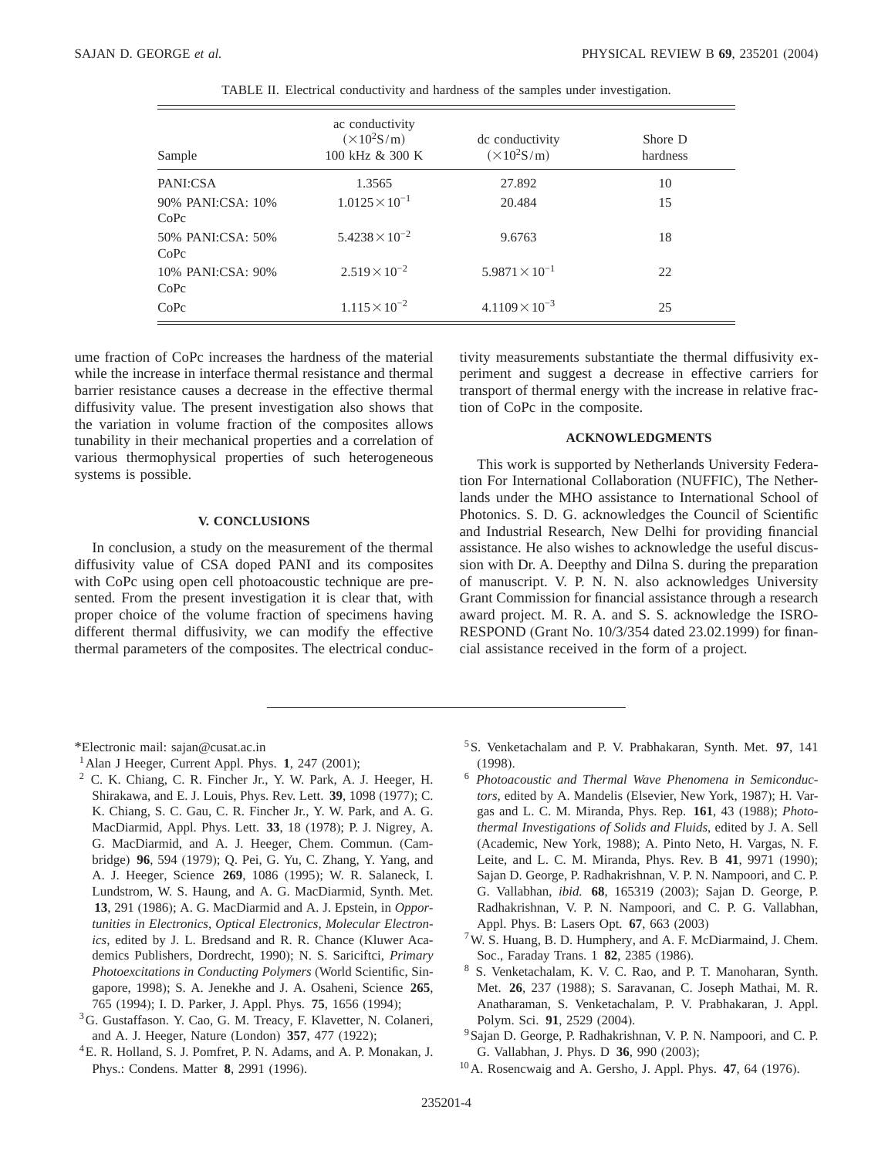| Sample                    | ac conductivity<br>$(\times 10^2$ S/m)<br>100 kHz & 300 K | de conductivity<br>$(\times 10^2$ S/m) | Shore D<br>hardness |
|---------------------------|-----------------------------------------------------------|----------------------------------------|---------------------|
| PANI:CSA                  | 1.3565                                                    | 27.892                                 | 10                  |
| 90% PANI:CSA: 10%<br>CoPc | $1.0125 \times 10^{-1}$                                   | 20.484                                 | 15                  |
| 50% PANI:CSA: 50%<br>CoPc | $5.4238 \times 10^{-2}$                                   | 9.6763                                 | 18                  |
| 10% PANI:CSA: 90%<br>CoPc | $2.519 \times 10^{-2}$                                    | $5.9871 \times 10^{-1}$                | 22                  |
| CoPc                      | $1.115 \times 10^{-2}$                                    | $4.1109 \times 10^{-3}$                | 25                  |

TABLE II. Electrical conductivity and hardness of the samples under investigation.

ume fraction of CoPc increases the hardness of the material while the increase in interface thermal resistance and thermal barrier resistance causes a decrease in the effective thermal diffusivity value. The present investigation also shows that the variation in volume fraction of the composites allows tunability in their mechanical properties and a correlation of various thermophysical properties of such heterogeneous systems is possible.

### **V. CONCLUSIONS**

In conclusion, a study on the measurement of the thermal diffusivity value of CSA doped PANI and its composites with CoPc using open cell photoacoustic technique are presented. From the present investigation it is clear that, with proper choice of the volume fraction of specimens having different thermal diffusivity, we can modify the effective thermal parameters of the composites. The electrical conductivity measurements substantiate the thermal diffusivity experiment and suggest a decrease in effective carriers for transport of thermal energy with the increase in relative fraction of CoPc in the composite.

### **ACKNOWLEDGMENTS**

This work is supported by Netherlands University Federation For International Collaboration (NUFFIC), The Netherlands under the MHO assistance to International School of Photonics. S. D. G. acknowledges the Council of Scientific and Industrial Research, New Delhi for providing financial assistance. He also wishes to acknowledge the useful discussion with Dr. A. Deepthy and Dilna S. during the preparation of manuscript. V. P. N. N. also acknowledges University Grant Commission for financial assistance through a research award project. M. R. A. and S. S. acknowledge the ISRO-RESPOND (Grant No. 10/3/354 dated 23.02.1999) for financial assistance received in the form of a project.

\*Electronic mail: sajan@cusat.ac.in

- 1Alan J Heeger, Current Appl. Phys. **1**, 247 (2001);
- <sup>2</sup> C. K. Chiang, C. R. Fincher Jr., Y. W. Park, A. J. Heeger, H. Shirakawa, and E. J. Louis, Phys. Rev. Lett. **39**, 1098 (1977); C. K. Chiang, S. C. Gau, C. R. Fincher Jr., Y. W. Park, and A. G. MacDiarmid, Appl. Phys. Lett. **33**, 18 (1978); P. J. Nigrey, A. G. MacDiarmid, and A. J. Heeger, Chem. Commun. (Cambridge) **96**, 594 (1979); Q. Pei, G. Yu, C. Zhang, Y. Yang, and A. J. Heeger, Science **269**, 1086 (1995); W. R. Salaneck, I. Lundstrom, W. S. Haung, and A. G. MacDiarmid, Synth. Met. **13**, 291 (1986); A. G. MacDiarmid and A. J. Epstein, in *Opportunities in Electronics, Optical Electronics, Molecular Electronics,* edited by J. L. Bredsand and R. R. Chance (Kluwer Academics Publishers, Dordrecht, 1990); N. S. Sariciftci, *Primary Photoexcitations in Conducting Polymers* (World Scientific, Singapore, 1998); S. A. Jenekhe and J. A. Osaheni, Science **265**, 765 (1994); I. D. Parker, J. Appl. Phys. **75**, 1656 (1994);
- 3G. Gustaffason. Y. Cao, G. M. Treacy, F. Klavetter, N. Colaneri, and A. J. Heeger, Nature (London) **357**, 477 (1922);
- 4E. R. Holland, S. J. Pomfret, P. N. Adams, and A. P. Monakan, J. Phys.: Condens. Matter **8**, 2991 (1996).
- 5S. Venketachalam and P. V. Prabhakaran, Synth. Met. **97**, 141 (1998).
- <sup>6</sup> *Photoacoustic and Thermal Wave Phenomena in Semiconductors*, edited by A. Mandelis (Elsevier, New York, 1987); H. Vargas and L. C. M. Miranda, Phys. Rep. **161**, 43 (1988); *Photothermal Investigations of Solids and Fluids*, edited by J. A. Sell (Academic, New York, 1988); A. Pinto Neto, H. Vargas, N. F. Leite, and L. C. M. Miranda, Phys. Rev. B **41**, 9971 (1990); Sajan D. George, P. Radhakrishnan, V. P. N. Nampoori, and C. P. G. Vallabhan, *ibid.* **68**, 165319 (2003); Sajan D. George, P. Radhakrishnan, V. P. N. Nampoori, and C. P. G. Vallabhan, Appl. Phys. B: Lasers Opt. **67**, 663 (2003)
- $7$ W. S. Huang, B. D. Humphery, and A. F. McDiarmaind, J. Chem. Soc., Faraday Trans. 1 **82**, 2385 (1986).
- <sup>8</sup> S. Venketachalam, K. V. C. Rao, and P. T. Manoharan, Synth. Met. **26**, 237 (1988); S. Saravanan, C. Joseph Mathai, M. R. Anatharaman, S. Venketachalam, P. V. Prabhakaran, J. Appl. Polym. Sci. **91**, 2529 (2004).
- 9Sajan D. George, P. Radhakrishnan, V. P. N. Nampoori, and C. P. G. Vallabhan, J. Phys. D **36**, 990 (2003);
- 10A. Rosencwaig and A. Gersho, J. Appl. Phys. **47**, 64 (1976).